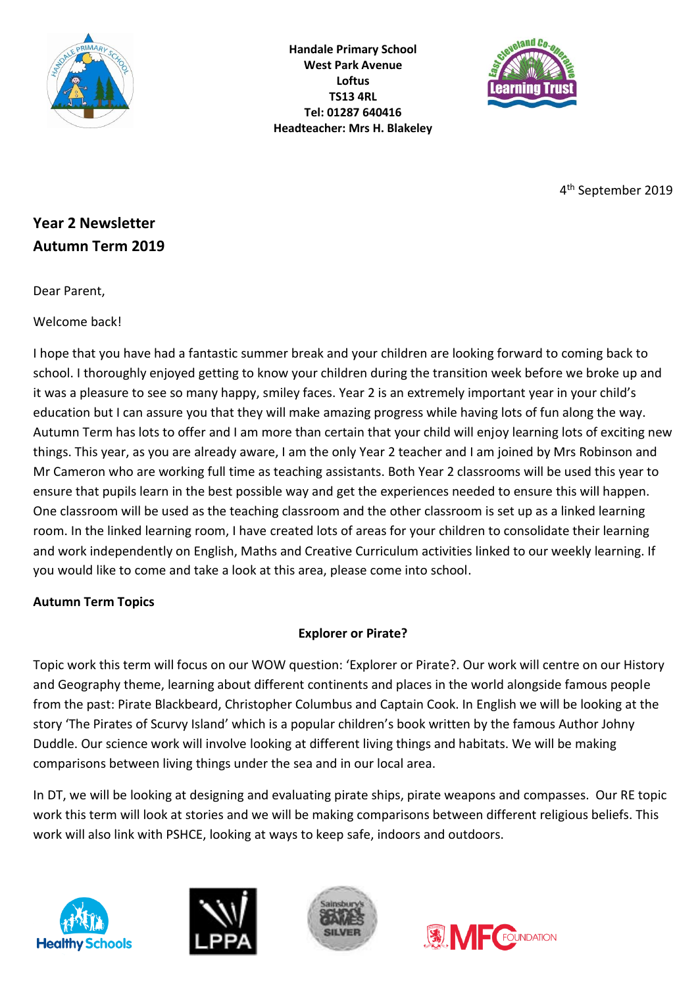

**Handale Primary School West Park Avenue Loftus TS13 4RL Tel: 01287 640416 Headteacher: Mrs H. Blakeley**



4 th September 2019

# **Year 2 Newsletter Autumn Term 2019**

Dear Parent,

Welcome back!

I hope that you have had a fantastic summer break and your children are looking forward to coming back to school. I thoroughly enjoyed getting to know your children during the transition week before we broke up and it was a pleasure to see so many happy, smiley faces. Year 2 is an extremely important year in your child's education but I can assure you that they will make amazing progress while having lots of fun along the way. Autumn Term has lots to offer and I am more than certain that your child will enjoy learning lots of exciting new things. This year, as you are already aware, I am the only Year 2 teacher and I am joined by Mrs Robinson and Mr Cameron who are working full time as teaching assistants. Both Year 2 classrooms will be used this year to ensure that pupils learn in the best possible way and get the experiences needed to ensure this will happen. One classroom will be used as the teaching classroom and the other classroom is set up as a linked learning room. In the linked learning room, I have created lots of areas for your children to consolidate their learning and work independently on English, Maths and Creative Curriculum activities linked to our weekly learning. If you would like to come and take a look at this area, please come into school.

### **Autumn Term Topics**

## **Explorer or Pirate?**

Topic work this term will focus on our WOW question: 'Explorer or Pirate?. Our work will centre on our History and Geography theme, learning about different continents and places in the world alongside famous people from the past: Pirate Blackbeard, Christopher Columbus and Captain Cook. In English we will be looking at the story 'The Pirates of Scurvy Island' which is a popular children's book written by the famous Author Johny Duddle. Our science work will involve looking at different living things and habitats. We will be making comparisons between living things under the sea and in our local area.

In DT, we will be looking at designing and evaluating pirate ships, pirate weapons and compasses. Our RE topic work this term will look at stories and we will be making comparisons between different religious beliefs. This work will also link with PSHCE, looking at ways to keep safe, indoors and outdoors.